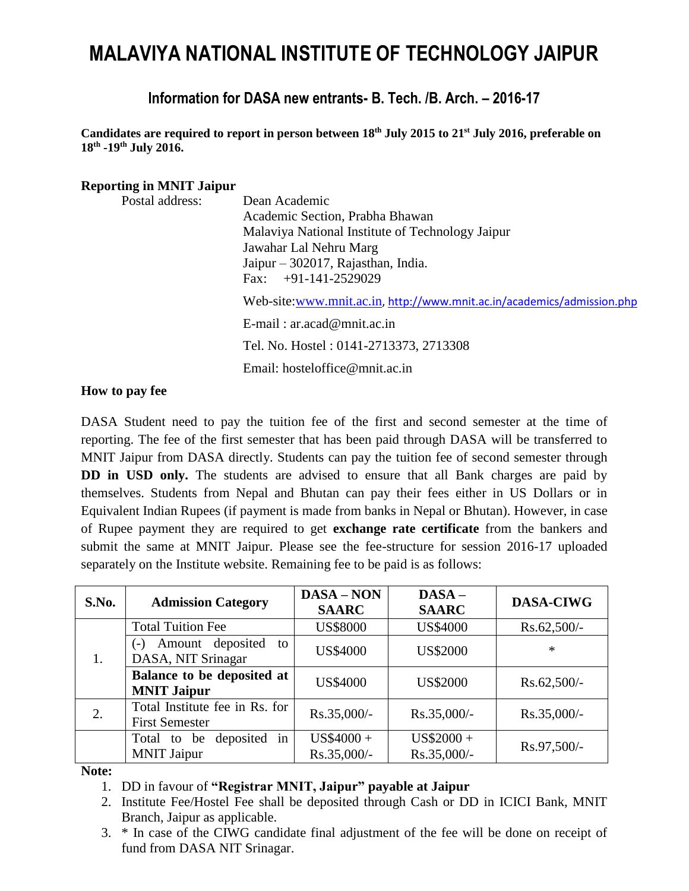# **MALAVIYA NATIONAL INSTITUTE OF TECHNOLOGY JAIPUR**

## **Information for DASA new entrants- B. Tech. /B. Arch. – 2016-17**

**Candidates are required to report in person between 18 th July 2015 to 21 st July 2016, preferable on 18th -19th July 2016.**

#### **Reporting in MNIT Jaipur**

| Postal address: | Dean Academic                                                          |
|-----------------|------------------------------------------------------------------------|
|                 | Academic Section, Prabha Bhawan                                        |
|                 | Malaviya National Institute of Technology Jaipur                       |
|                 | Jawahar Lal Nehru Marg                                                 |
|                 | Jaipur – 302017, Rajasthan, India.                                     |
|                 | Fax: $+91-141-2529029$                                                 |
|                 | Web-site:www.mnit.ac.in, http://www.mnit.ac.in/academics/admission.php |
|                 | $E$ -mail: ar.acad@mnit.ac.in                                          |
|                 | Tel. No. Hostel: 0141-2713373, 2713308                                 |
|                 | Email: hosteloffice@mnit.ac.in                                         |
|                 |                                                                        |

#### **How to pay fee**

DASA Student need to pay the tuition fee of the first and second semester at the time of reporting. The fee of the first semester that has been paid through DASA will be transferred to MNIT Jaipur from DASA directly. Students can pay the tuition fee of second semester through **DD in USD only.** The students are advised to ensure that all Bank charges are paid by themselves. Students from Nepal and Bhutan can pay their fees either in US Dollars or in Equivalent Indian Rupees (if payment is made from banks in Nepal or Bhutan). However, in case of Rupee payment they are required to get **exchange rate certificate** from the bankers and submit the same at MNIT Jaipur. Please see the fee-structure for session 2016-17 uploaded separately on the Institute website. Remaining fee to be paid is as follows:

| S.No. | <b>Admission Category</b>                               | <b>DASA-NON</b><br><b>SAARC</b> | $DASA -$<br><b>SAARC</b>   | <b>DASA-CIWG</b> |
|-------|---------------------------------------------------------|---------------------------------|----------------------------|------------------|
|       | <b>Total Tuition Fee</b>                                | <b>US\$8000</b>                 | <b>US\$4000</b>            | Rs.62,500/-      |
|       | Amount deposited to<br>( – )<br>DASA, NIT Srinagar      | <b>US\$4000</b>                 | <b>US\$2000</b>            | *                |
|       | Balance to be deposited at<br><b>MNIT Jaipur</b>        | <b>US\$4000</b>                 | <b>US\$2000</b>            | $Rs.62,500/-$    |
| 2.    | Total Institute fee in Rs. for<br><b>First Semester</b> | Rs.35,000/-                     | $Rs.35,000/-$              | $Rs.35,000/-$    |
|       | Total to be deposited in<br><b>MNIT Jaipur</b>          | $US$4000 +$<br>Rs.35,000/-      | $US$2000 +$<br>Rs.35,000/- | Rs.97,500/-      |

**Note:** 

- 1. DD in favour of **"Registrar MNIT, Jaipur" payable at Jaipur**
- 2. Institute Fee/Hostel Fee shall be deposited through Cash or DD in ICICI Bank, MNIT Branch, Jaipur as applicable.
- 3. \* In case of the CIWG candidate final adjustment of the fee will be done on receipt of fund from DASA NIT Srinagar.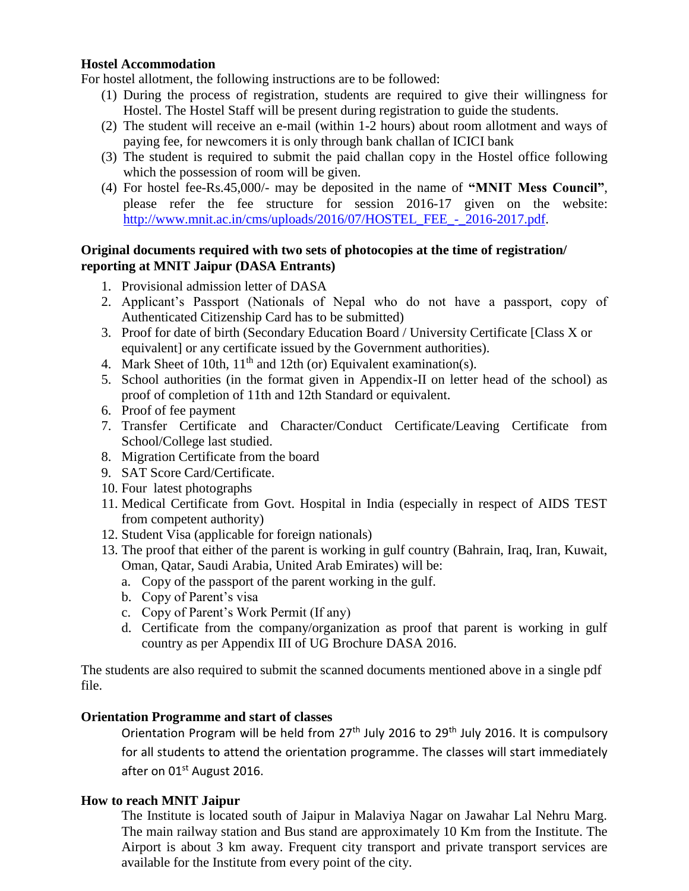#### **Hostel Accommodation**

For hostel allotment, the following instructions are to be followed:

- (1) During the process of registration, students are required to give their willingness for Hostel. The Hostel Staff will be present during registration to guide the students.
- (2) The student will receive an e-mail (within 1-2 hours) about room allotment and ways of paying fee, for newcomers it is only through bank challan of ICICI bank
- (3) The student is required to submit the paid challan copy in the Hostel office following which the possession of room will be given.
- (4) For hostel fee-Rs.45,000/- may be deposited in the name of **"MNIT Mess Council"**, please refer the fee structure for session 2016-17 given on the website: http://www.mnit.ac.in/cms/uploads/2016/07/HOSTEL\_FEE - 2016-2017.pdf.

#### **Original documents required with two sets of photocopies at the time of registration/ reporting at MNIT Jaipur (DASA Entrants)**

- 1. Provisional admission letter of DASA
- 2. Applicant's Passport (Nationals of Nepal who do not have a passport, copy of Authenticated Citizenship Card has to be submitted)
- 3. Proof for date of birth (Secondary Education Board / University Certificate [Class X or equivalent] or any certificate issued by the Government authorities).
- 4. Mark Sheet of 10th,  $11<sup>th</sup>$  and 12th (or) Equivalent examination(s).
- 5. School authorities (in the format given in Appendix-II on letter head of the school) as proof of completion of 11th and 12th Standard or equivalent.
- 6. Proof of fee payment
- 7. Transfer Certificate and Character/Conduct Certificate/Leaving Certificate from School/College last studied.
- 8. Migration Certificate from the board
- 9. SAT Score Card/Certificate.
- 10. Four latest photographs
- 11. Medical Certificate from Govt. Hospital in India (especially in respect of AIDS TEST from competent authority)
- 12. Student Visa (applicable for foreign nationals)
- 13. The proof that either of the parent is working in gulf country (Bahrain, Iraq, Iran, Kuwait, Oman, Qatar, Saudi Arabia, United Arab Emirates) will be:
	- a. Copy of the passport of the parent working in the gulf.
	- b. Copy of Parent's visa
	- c. Copy of Parent's Work Permit (If any)
	- d. Certificate from the company/organization as proof that parent is working in gulf country as per Appendix III of UG Brochure DASA 2016.

The students are also required to submit the scanned documents mentioned above in a single pdf file.

#### **Orientation Programme and start of classes**

Orientation Program will be held from  $27<sup>th</sup>$  July 2016 to 29<sup>th</sup> July 2016. It is compulsory for all students to attend the orientation programme. The classes will start immediately after on 01<sup>st</sup> August 2016.

#### **How to reach MNIT Jaipur**

The Institute is located south of Jaipur in Malaviya Nagar on Jawahar Lal Nehru Marg. The main railway station and Bus stand are approximately 10 Km from the Institute. The Airport is about 3 km away. Frequent city transport and private transport services are available for the Institute from every point of the city.